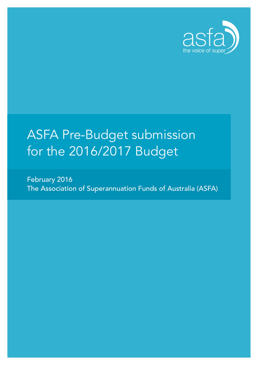

# ASFA Pre-Budget submission for the 2016/2017 Budget

February 2016 The Association of Superannuation Funds of Australia (ASFA)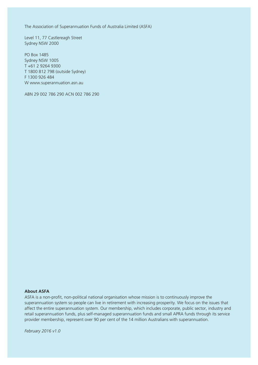The Association of Superannuation Funds of Australia Limited (ASFA)

Level 11, 77 Castlereagh Street Sydney NSW 2000

PO Box 1485 Sydney NSW 1005 T +61 2 9264 9300 T 1800 812 798 (outside Sydney) F 1300 926 484 W www.superannuation.asn.au

ABN 29 002 786 290 ACN 002 786 290

#### **About ASFA**

ASFA is a non-profit, non-political national organisation whose mission is to continuously improve the superannuation system so people can live in retirement with increasing prosperity. We focus on the issues that affect the entire superannuation system. Our membership, which includes corporate, public sector, industry and retail superannuation funds, plus self-managed superannuation funds and small APRA funds through its service provider membership, represent over 90 per cent of the 14 million Australians with superannuation.

*February 2016 v1.0*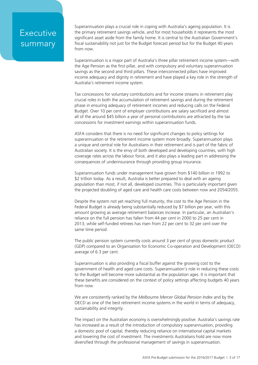# **Executive** summary

Superannuation plays a crucial role in coping with Australia's ageing population. It is the primary retirement savings vehicle, and for most households it represents the most significant asset aside from the family home. It is central to the Australian Government's fiscal sustainability not just for the Budget forecast period but for the Budget 40 years from now.

Superannuation is a major part of Australia's three pillar retirement income system—with the Age Pension as the first pillar, and with compulsory and voluntary superannuation savings as the second and third pillars. These interconnected pillars have improved income adequacy and dignity in retirement and have played a key role in the strength of Australia's retirement income system.

Tax concessions for voluntary contributions and for income streams in retirement play crucial roles in both the accumulation of retirement savings and during the retirement phase in ensuring adequacy of retirement incomes and reducing calls on the Federal Budget. Over 10 per cent of employer contributions are salary sacrificed and almost all of the around \$45 billion a year of personal contributions are attracted by the tax concessions for investment earnings within superannuation funds.

ASFA considers that there is no need for significant changes to policy settings for superannuation or the retirement income system more broadly. Superannuation plays a unique and central role for Australians in their retirement and is part of the fabric of Australian society. It is the envy of both developed and developing countries, with high coverage rates across the labour force, and it also plays a leading part in addressing the consequences of underinsurance through providing group insurance.

Superannuation funds under management have grown from \$140 billion in 1992 to \$2 trillion today. As a result, Australia is better prepared to deal with an ageing population than most, if not all, developed countries. This is particularly important given the projected doubling of aged care and health care costs between now and 2054/2055.

Despite the system not yet reaching full maturity, the cost to the Age Pension in the Federal Budget is already being substantially reduced by \$7 billion per year, with this amount growing as average retirement balances increase. In particular, an Australian's reliance on the full pension has fallen from 44 per cent in 2000 to 25 per cent in 2013, while self-funded retirees has risen from 22 per cent to 32 per cent over the same time period.

The public pension system currently costs around 3 per cent of gross domestic product (GDP) compared to an Organisation for Economic Co-operation and Development (OECD) average of 6.3 per cent.

Superannuation is also providing a fiscal buffer against the growing cost to the government of health and aged care costs. Superannuation's role in reducing these costs to the Budget will become more substantial as the population ages. It is important that these benefits are considered on the context of policy settings affecting budgets 40 years from now.

We are consistently ranked by the *Melbourne Mercer Global Pension Index* and by the OECD as one of the best retirement income systems in the world in terms of adequacy, sustainability and integrity.

The impact on the Australian economy is overwhelmingly positive. Australia's savings rate has increased as a result of the introduction of compulsory superannuation, providing a domestic pool of capital, thereby reducing reliance on international capital markets and lowering the cost of investment. The investments Australians hold are now more diversified through the professional management of savings in superannuation.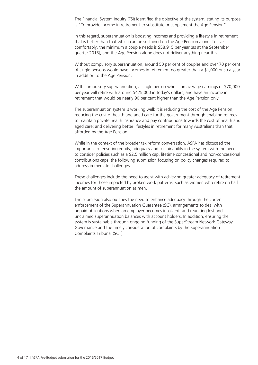The Financial System Inquiry (FSI) identified the objective of the system, stating its purpose is "To provide income in retirement to substitute or supplement the Age Pension".

In this regard, superannuation is boosting incomes and providing a lifestyle in retirement that is better than that which can be sustained on the Age Pension alone. To live comfortably, the minimum a couple needs is \$58,915 per year (as at the September quarter 2015), and the Age Pension alone does not deliver anything near this.

Without compulsory superannuation, around 50 per cent of couples and over 70 per cent of single persons would have incomes in retirement no greater than a \$1,000 or so a year in addition to the Age Pension.

With compulsory superannuation, a single person who is on average earnings of \$70,000 per year will retire with around \$425,000 in today's dollars, and have an income in retirement that would be nearly 90 per cent higher than the Age Pension only.

The superannuation system is working well: it is reducing the cost of the Age Pension; reducing the cost of health and aged care for the government through enabling retirees to maintain private health insurance and pay contributions towards the cost of health and aged care; and delivering better lifestyles in retirement for many Australians than that afforded by the Age Pension.

While in the context of the broader tax reform conversation, ASFA has discussed the importance of ensuring equity, adequacy and sustainability in the system with the need to consider policies such as a \$2.5 million cap, lifetime concessional and non-concessional contributions caps, the following submission focusing on policy changes required to address immediate challenges.

These challenges include the need to assist with achieving greater adequacy of retirement incomes for those impacted by broken work patterns, such as women who retire on half the amount of superannuation as men.

The submission also outlines the need to enhance adequacy through the current enforcement of the Superannuation Guarantee (SG), arrangements to deal with unpaid obligations when an employer becomes insolvent, and reuniting lost and unclaimed superannuation balances with account holders. In addition, ensuring the system is sustainable through ongoing funding of the SuperStream Network Gateway Governance and the timely consideration of complaints by the Superannuation Complaints Tribunal (SCT).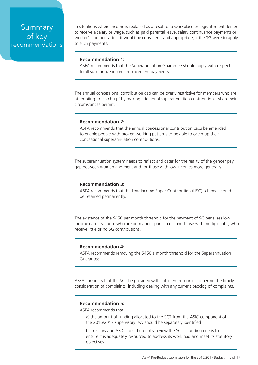## Summary of key recommendations

In situations where income is replaced as a result of a workplace or legislative entitlement to receive a salary or wage, such as paid parental leave, salary continuance payments or worker's compensation, it would be consistent, and appropriate, if the SG were to apply to such payments.

### **Recommendation 1:**

ASFA recommends that the Superannuation Guarantee should apply with respect to all substantive income replacement payments.

The annual concessional contribution cap can be overly restrictive for members who are attempting to 'catch-up' by making additional superannuation contributions when their circumstances permit.

### **Recommendation 2:**

ASFA recommends that the annual concessional contribution caps be amended to enable people with broken working patterns to be able to catch-up their concessional superannuation contributions.

The superannuation system needs to reflect and cater for the reality of the gender pay gap between women and men, and for those with low incomes more generally.

#### **Recommendation 3:**

ASFA recommends that the Low Income Super Contribution (LISC) scheme should be retained permanently.

The existence of the \$450 per month threshold for the payment of SG penalises low income earners, those who are permanent part-timers and those with multiple jobs, who receive little or no SG contributions.

### **Recommendation 4:**

ASFA recommends removing the \$450 a month threshold for the Superannuation Guarantee.

ASFA considers that the SCT be provided with sufficient resources to permit the timely consideration of complaints, including dealing with any current backlog of complaints.

### **Recommendation 5:**

ASFA recommends that:

a) the amount of funding allocated to the SCT from the ASIC component of the 2016/2017 supervisory levy should be separately identified

b) Treasury and ASIC should urgently review the SCT's funding needs to ensure it is adequately resourced to address its workload and meet its statutory objectives.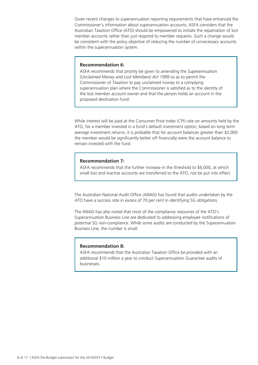Given recent changes to superannuation reporting requirements that have enhanced the Commissioner's information about superannuation accounts, ASFA considers that the Australian Taxation Office (ATO) should be empowered to initiate the repatriation of lost member accounts rather than just respond to member requests. Such a change would be consistent with the policy objective of reducing the number of unnecessary accounts within the superannuation system.

#### **Recommendation 6:**

ASFA recommends that priority be given to amending the *Superannuation (Unclaimed Money and Lost Members) Act 1999* so as to permit the Commissioner of Taxation to pay unclaimed money to a complying superannuation plan where the Commissioner is satisfied as to the identity of the lost member account owner and that the person holds an account in the proposed destination fund.

While interest will be paid at the Consumer Price Index (CPI) rate on amounts held by the ATO, for a member invested in a fund's default investment option, based on long term average investment returns, it is probable that for account balances greater than \$2,000 the member would be significantly better off financially were the account balance to remain invested with the fund.

#### **Recommendation 7:**

ASFA recommends that the further increase in the threshold to \$6,000, at which small lost and inactive accounts are transferred to the ATO, not be put into effect.

The Australian National Audit Office (ANAO) has found that audits undertaken by the ATO have a success rate in excess of 70 per cent in identifying SG obligations.

The ANAO has also noted that most of the compliance resources of the ATO's Superannuation Business Line are dedicated to addressing employee notifications of potential SG non-compliance. While some audits are conducted by the Superannuation Business Line, the number is small.

#### **Recommendation 8:**

ASFA recommends that the Australian Taxation Office be provided with an additional \$10 million a year to conduct Superannuation Guarantee audits of businesses.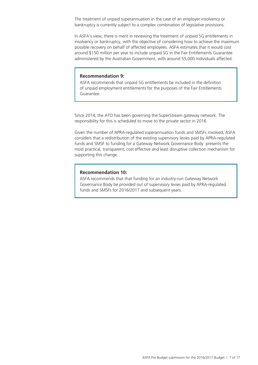The treatment of unpaid superannuation in the case of an employer insolvency or bankruptcy is currently subject to a complex combination of legislative provisions.

In ASFA's view, there is merit in reviewing the treatment of unpaid SG entitlements in insolvency or bankruptcy, with the objective of considering how to achieve the maximum possible recovery on behalf of affected employees. ASFA estimates that it would cost around \$150 million per year to include unpaid SG in the Fair Entitlements Guarantee administered by the Australian Government, with around 55,000 individuals affected.

#### **Recommendation 9:**

ASFA recommends that unpaid SG entitlements be included in the definition of unpaid employment entitlements for the purposes of the Fair Entitlements Guarantee.

Since 2014, the ATO has been governing the SuperStream gateway network. The responsibility for this is scheduled to move to the private sector in 2016.

Given the number of APRA-regulated superannuation funds and SMSFs involved, ASFA considers that a redistribution of the existing supervisory levies paid by APRA-regulated funds and SMSF to funding for a Gateway Network Governance Body presents the most practical, transparent, cost effective and least disruptive collection mechanism for supporting this change.

#### **Recommendation 10:**

ASFA recommends that that funding for an industry-run Gateway Network Governance Body be provided out of supervisory levies paid by APRA-regulated funds and SMSFs for 2016/2017 and subsequent years.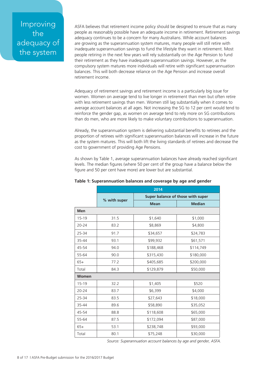# Improving the adequacy of the system

ASFA believes that retirement income policy should be designed to ensure that as many people as reasonably possible have an adequate income in retirement. Retirement savings adequacy continues to be a concern for many Australians. While account balances are growing as the superannuation system matures, many people will still retire with inadequate superannuation savings to fund the lifestyle they want in retirement. Most people retiring in the next few years will rely substantially on the Age Pension to fund their retirement as they have inadequate superannuation savings. However, as the compulsory system matures more individuals will retire with significant superannuation balances. This will both decrease reliance on the Age Pension and increase overall retirement income.

Adequacy of retirement savings and retirement income is a particularly big issue for women. Women on average tend to live longer in retirement than men but often retire with less retirement savings than men. Women still lag substantially when it comes to average account balances at all ages. Not increasing the SG to 12 per cent would tend to reinforce the gender gap, as women on average tend to rely more on SG contributions than do men, who are more likely to make voluntary contributions to superannuation.

Already, the superannuation system is delivering substantial benefits to retirees and the proportion of retirees with significant superannuation balances will increase in the future as the system matures. This will both lift the living standards of retirees and decrease the cost to government of providing Age Pensions.

As shown by Table 1, average superannuation balances have already reached significant levels. The median figures (where 50 per cent of the group have a balance below the figure and 50 per cent have more) are lower but are substantial.

|            | 2014         |                                   |               |  |  |  |  |
|------------|--------------|-----------------------------------|---------------|--|--|--|--|
|            |              | Super balance of those with super |               |  |  |  |  |
|            | % with super | <b>Mean</b>                       | <b>Median</b> |  |  |  |  |
| <b>Men</b> |              |                                   |               |  |  |  |  |
| $15 - 19$  | 31.5         | \$1,640                           | \$1,000       |  |  |  |  |
| 20-24      | 83.2         | \$8,869                           | \$4,800       |  |  |  |  |
| 25-34      | 91.7         | \$34,657                          | \$24,783      |  |  |  |  |
| 35-44      | 93.1         | \$99,932                          | \$61,571      |  |  |  |  |
| 45-54      | 94.0         | \$188,468                         | \$114,749     |  |  |  |  |
| 55-64      | 90.0         | \$315,430                         | \$180,000     |  |  |  |  |
| $65+$      | 77.2         | \$405,685                         | \$200,000     |  |  |  |  |
| Total      | 84.3         | \$129,879                         | \$50,000      |  |  |  |  |
| Women      |              |                                   |               |  |  |  |  |
| $15 - 19$  | 32.2         | \$1,405                           | \$520         |  |  |  |  |
| 20-24      | 83.7         | \$6,399                           | \$4,000       |  |  |  |  |
| 25-34      | 83.5         | \$27,643                          | \$18,000      |  |  |  |  |
| 35-44      | 89.6         | \$58,890                          | \$35,052      |  |  |  |  |
| 45-54      | 88.8         | \$118,608                         | \$65,000      |  |  |  |  |
| 55-64      | 87.5         | \$172,094                         | \$87,000      |  |  |  |  |
| $65+$      | 53.1         | \$238,748                         | \$93,000      |  |  |  |  |
| Total      | 80.1         | \$75,248                          | \$30,000      |  |  |  |  |

### **Table 1: Superannuation balances and coverage by age and gender**

*Source: Superannuation account balances by age and gender, ASFA.*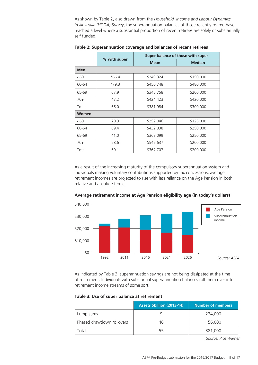As shown by Table 2, also drawn from the *Household, Income and Labour Dynamics in Australia (HILDA) Survey*, the superannuation balances of those recently retired have reached a level where a substantial proportion of recent retirees are solely or substantially self funded.

|            |              | Super balance of those with super |               |  |  |
|------------|--------------|-----------------------------------|---------------|--|--|
|            | % with super | <b>Mean</b>                       | <b>Median</b> |  |  |
| <b>Men</b> |              |                                   |               |  |  |
| <60        | $*66.4$      | \$249,324                         | \$150,000     |  |  |
| 60-64      | $*79.3$      | \$450,748                         | \$480,000     |  |  |
| 65-69      | 67.9         | \$345,758                         | \$200,000     |  |  |
| $70+$      | 47.2         | \$424,423                         | \$420,000     |  |  |
| Total      | 66.0         | \$381,984                         | \$300,000     |  |  |
| Women      |              |                                   |               |  |  |
| < 60       | 70.3         | \$252,046                         | \$125,000     |  |  |
| 60-64      | 69.4         | \$432,838                         | \$250,000     |  |  |
| 65-69      | 41.0         | \$369,099                         | \$250,000     |  |  |
| $70+$      | 58.6         | \$549,637                         | \$200,000     |  |  |
| Total      | 60.1         | \$367,707                         | \$200,000     |  |  |

**Table 2: Superannuation coverage and balances of recent retirees**

As a result of the increasing maturity of the compulsory superannuation system and individuals making voluntary contributions supported by tax concessions, average retirement incomes are projected to rise with less reliance on the Age Pension in both relative and absolute terms.



**Average retirement income at Age Pension eligibility age (in today's dollars)**

As indicated by Table 3, superannuation savings are not being dissipated at the time of retirement. Individuals with substantial superannuation balances roll them over into retirement income streams of some sort.

| Table 3: Use of super balance at retirement |  |  |  |  |
|---------------------------------------------|--|--|--|--|
|---------------------------------------------|--|--|--|--|

|                           | <b>Assets \$billion (2013-14)</b> | <b>Number of members</b> |
|---------------------------|-----------------------------------|--------------------------|
| Lump sums                 |                                   | 224,000                  |
| Phased drawdown rollovers | 46                                | 156,000                  |
| Total                     | 55                                | 381,000                  |

*Source: Rice Warner.*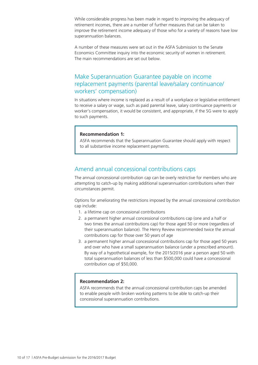While considerable progress has been made in regard to improving the adequacy of retirement incomes, there are a number of further measures that can be taken to improve the retirement income adequacy of those who for a variety of reasons have low superannuation balances.

A number of these measures were set out in the ASFA Submission to the Senate Economics Committee inquiry into the economic security of women in retirement. The main recommendations are set out below.

### Make Superannuation Guarantee payable on income replacement payments (parental leave/salary continuance/ workers' compensation)

In situations where income is replaced as a result of a workplace or legislative entitlement to receive a salary or wage, such as paid parental leave, salary continuance payments or worker's compensation, it would be consistent, and appropriate, if the SG were to apply to such payments.

### **Recommendation 1:**

ASFA recommends that the Superannuation Guarantee should apply with respect to all substantive income replacement payments.

### Amend annual concessional contributions caps

The annual concessional contribution cap can be overly restrictive for members who are attempting to catch-up by making additional superannuation contributions when their circumstances permit.

Options for ameliorating the restrictions imposed by the annual concessional contribution cap include:

- 1. a lifetime cap on concessional contributions
- 2. a permanent higher annual concessional contributions cap (one and a half or two times the annual contributions cap) for those aged 50 or more (regardless of their superannuation balance). The Henry Review recommended twice the annual contributions cap for those over 50 years of age
- 3. a permanent higher annual concessional contributions cap for those aged 50 years and over who have a small superannuation balance (under a prescribed amount). By way of a hypothetical example, for the 2015/2016 year a person aged 50 with total superannuation balances of less than \$500,000 could have a concessional contribution cap of \$50,000.

### **Recommendation 2:**

ASFA recommends that the annual concessional contribution caps be amended to enable people with broken working patterns to be able to catch-up their concessional superannuation contributions.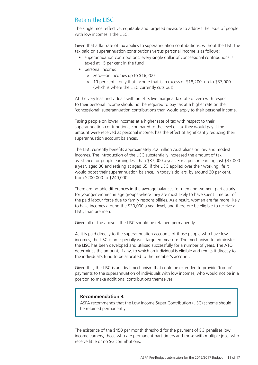### Retain the LISC

The single most effective, equitable and targeted measure to address the issue of people with low incomes is the LISC.

Given that a flat rate of tax applies to superannuation contributions, without the LISC the tax paid on superannuation contributions versus personal income is as follows:

- superannuation contributions: every single dollar of concessional contributions is taxed at 15 per cent in the fund
- personal income:
	- » zero—on incomes up to \$18,200
	- » 19 per cent—only that income that is in excess of \$18,200, up to \$37,000 (which is where the LISC currently cuts out).

At the very least individuals with an effective marginal tax rate of zero with respect to their personal income should not be required to pay tax at a higher rate on their 'concessional' superannuation contributions than would apply to their personal income.

Taxing people on lower incomes at a higher rate of tax with respect to their superannuation contributions, compared to the level of tax they would pay if the amount were received as personal income, has the effect of significantly reducing their superannuation account balances.

The LISC currently benefits approximately 3.2 million Australians on low and modest incomes. The introduction of the LISC substantially increased the amount of tax assistance for people earning less than \$37,000 a year. For a person earning just \$37,000 a year, aged 30 and retiring at aged 65, if the LISC applied over their working life it would boost their superannuation balance, in today's dollars, by around 20 per cent, from \$200,000 to \$240,000.

There are notable differences in the average balances for men and women, particularly for younger women in age groups where they are most likely to have spent time out of the paid labour force due to family responsibilities. As a result, women are far more likely to have incomes around the \$30,000 a year level, and therefore be eligible to receive a LISC, than are men.

Given all of the above—the LISC should be retained permanently.

As it is paid directly to the superannuation accounts of those people who have low incomes, the LISC is an especially well targeted measure. The mechanism to administer the LISC has been developed and utilised successfully for a number of years. The ATO determines the amount, if any, to which an individual is eligible and remits it directly to the individual's fund to be allocated to the member's account.

Given this, the LISC is an ideal mechanism that could be extended to provide 'top up' payments to the superannuation of individuals with low incomes, who would not be in a position to make additional contributions themselves.

### **Recommendation 3:**

ASFA recommends that the Low Income Super Contribution (LISC) scheme should be retained permanently.

The existence of the \$450 per month threshold for the payment of SG penalises low income earners, those who are permanent part-timers and those with multiple jobs, who receive little or no SG contributions.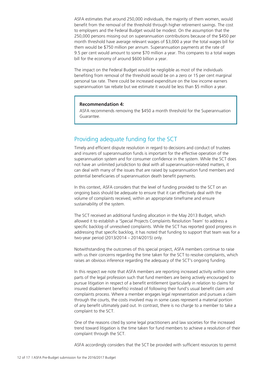ASFA estimates that around 250,000 individuals, the majority of them women, would benefit from the removal of the threshold through higher retirement savings. The cost to employers and the Federal Budget would be modest. On the assumption that the 250,000 persons missing out on superannuation contributions because of the \$450 per month threshold have average relevant wages of \$3,000 a year the total wages bill for them would be \$750 million per annum. Superannuation payments at the rate of 9.5 per cent would amount to some \$70 million a year. This compares to a total wages bill for the economy of around \$600 billion a year.

The impact on the Federal Budget would be negligible as most of the individuals benefiting from removal of the threshold would be on a zero or 15 per cent marginal personal tax rate. There could be increased expenditure on the low income earners superannuation tax rebate but we estimate it would be less than \$5 million a year.

### **Recommendation 4:**

ASFA recommends removing the \$450 a month threshold for the Superannuation Guarantee.

### Providing adequate funding for the SCT

Timely and efficient dispute resolution in regard to decisions and conduct of trustees and insurers of superannuation funds is important for the effective operation of the superannuation system and for consumer confidence in the system. While the SCT does not have an unlimited jurisdiction to deal with all superannuation-related matters, it can deal with many of the issues that are raised by superannuation fund members and potential beneficiaries of superannuation death benefit payments.

In this context, ASFA considers that the level of funding provided to the SCT on an ongoing basis should be adequate to ensure that it can effectively deal with the volume of complaints received, within an appropriate timeframe and ensure sustainability of the system.

The SCT received an additional funding allocation in the May 2013 Budget, which allowed it to establish a 'Special Projects Complaints Resolution Team' to address a specific backlog of unresolved complaints. While the SCT has reported good progress in addressing that specific backlog, it has noted that funding to support that team was for a two-year period (2013/2014 – 2014/2015) only.

Notwithstanding the outcomes of this special project, ASFA members continue to raise with us their concerns regarding the time taken for the SCT to resolve complaints, which raises an obvious inference regarding the adequacy of the SCT's ongoing funding.

In this respect we note that ASFA members are reporting increased activity within some parts of the legal profession such that fund members are being actively encouraged to pursue litigation in respect of a benefit entitlement (particularly in relation to claims for insured disablement benefits) instead of following their fund's usual benefit claim and complaints process. Where a member engages legal representation and pursues a claim through the courts, the costs involved may in some cases represent a material portion of any benefit ultimately paid out. In contrast, there is no charge to a member to take a complaint to the SCT.

One of the reasons cited by some legal practitioners and law societies for the increased trend toward litigation is the time taken for fund members to achieve a resolution of their complaint through the SCT.

ASFA accordingly considers that the SCT be provided with sufficient resources to permit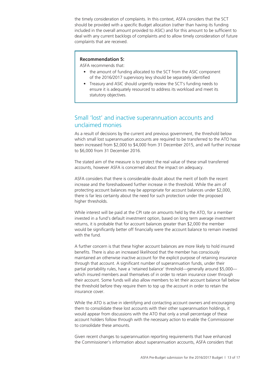the timely consideration of complaints. In this context, ASFA considers that the SCT should be provided with a specific Budget allocation (rather than having its funding included in the overall amount provided to ASIC) and for this amount to be sufficient to deal with any current backlogs of complaints and to allow timely consideration of future complaints that are received.

### **Recommendation 5:**

ASFA recommends that:

- the amount of funding allocated to the SCT from the ASIC component of the 2016/2017 supervisory levy should be separately identified
- Treasury and ASIC should urgently review the SCT's funding needs to ensure it is adequately resourced to address its workload and meet its statutory objectives.

### Small 'lost' and inactive superannuation accounts and unclaimed monies

As a result of decisions by the current and previous government, the threshold below which small lost superannuation accounts are required to be transferred to the ATO has been increased from \$2,000 to \$4,000 from 31 December 2015, and will further increase to \$6,000 from 31 December 2016.

The stated aim of the measure is to protect the real value of these small transferred accounts, however ASFA is concerned about the impact on adequacy.

ASFA considers that there is considerable doubt about the merit of both the recent increase and the foreshadowed further increase in the threshold. While the aim of protecting account balances may be appropriate for account balances under \$2,000, there is far less certainty about the need for such protection under the proposed higher thresholds.

While interest will be paid at the CPI rate on amounts held by the ATO, for a member invested in a fund's default investment option, based on long term average investment returns, it is probable that for account balances greater than \$2,000 the member would be significantly better off financially were the account balance to remain invested with the fund.

A further concern is that these higher account balances are more likely to hold insured benefits. There is also an increased likelihood that the member has consciously maintained an otherwise inactive account for the explicit purpose of retaining insurance through that account. A significant number of superannuation funds, under their partial portability rules, have a 'retained balance' threshold—generally around \$5,000 which insured members avail themselves of in order to retain insurance cover through their account. Some funds will also allow members to let their account balance fall below the threshold before they require them to top up the account in order to retain the insurance cover.

While the ATO is active in identifying and contacting account owners and encouraging them to consolidate these lost accounts with their other superannuation holdings, it would appear from discussions with the ATO that only a small percentage of these account holders follow through with the necessary action to enable the Commissioner to consolidate these amounts.

Given recent changes to superannuation reporting requirements that have enhanced the Commissioner's information about superannuation accounts, ASFA considers that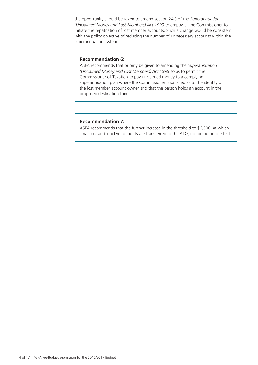the opportunity should be taken to amend section 24G of the *Superannuation (Unclaimed Money and Lost Members) Act 1999* to empower the Commissioner to initiate the repatriation of lost member accounts. Such a change would be consistent with the policy objective of reducing the number of unnecessary accounts within the superannuation system.

### **Recommendation 6:**

ASFA recommends that priority be given to amending the *Superannuation (Unclaimed Money and Lost Members) Act 1999* so as to permit the Commissioner of Taxation to pay unclaimed money to a complying superannuation plan where the Commissioner is satisfied as to the identity of the lost member account owner and that the person holds an account in the proposed destination fund.

### **Recommendation 7:**

ASFA recommends that the further increase in the threshold to \$6,000, at which small lost and inactive accounts are transferred to the ATO, not be put into effect.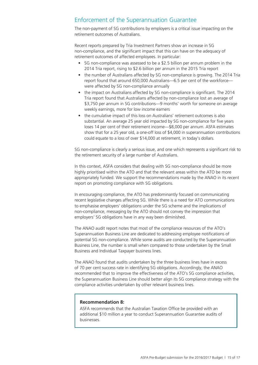### Enforcement of the Superannuation Guarantee

The non-payment of SG contributions by employers is a critical issue impacting on the retirement outcomes of Australians.

Recent reports prepared by Tria Investment Partners show an increase in SG non-compliance, and the significant impact that this can have on the adequacy of retirement outcomes of affected employees. In particular:

- SG non-compliance was assessed to be a \$2.5 billion per annum problem in the 2014 Tria report, rising to \$2.6 billion per annum in the 2015 Tria report
- the number of Australians affected by SG non-compliance is growing. The 2014 Tria report found that around 650,000 Australians—6.5 per cent of the workforce were affected by SG non-compliance annually
- the impact on Australians affected by SG non-compliance is significant. The 2014 Tria report found that Australians affected by non-compliance lost an average of \$3,750 per annum in SG contributions—9 months' worth for someone on average weekly earnings, more for low income earners
- the cumulative impact of this loss on Australians' retirement outcomes is also substantial. An average 25 year old impacted by SG non-compliance for five years loses 14 per cent of their retirement income—\$8,000 per annum. ASFA estimates show that for a 25 year old, a one-off loss of \$4,000 in superannuation contributions could equate to a loss of over \$14,000 at retirement, in today's dollars.

SG non-compliance is clearly a serious issue, and one which represents a significant risk to the retirement security of a large number of Australians.

In this context, ASFA considers that dealing with SG non-compliance should be more highly prioritised within the ATO and that the relevant areas within the ATO be more appropriately funded. We support the recommendations made by the ANAO in its recent report on promoting compliance with SG obligations.

In encouraging compliance, the ATO has predominantly focused on communicating recent legislative changes affecting SG. While there is a need for ATO communications to emphasise employers' obligations under the SG scheme and the implications of non-compliance, messaging by the ATO should not convey the impression that employers' SG obligations have in any way been diminished.

The ANAO audit report notes that most of the compliance resources of the ATO's Superannuation Business Line are dedicated to addressing employee notifications of potential SG non-compliance. While some audits are conducted by the Superannuation Business Line, the number is small when compared to those undertaken by the Small Business and Individual Taxpayer business lines.

The ANAO found that audits undertaken by the three business lines have in excess of 70 per cent success rate in identifying SG obligations. Accordingly, the ANAO recommended that to improve the effectiveness of the ATO's SG compliance activities, the Superannuation Business Line should better align its SG compliance strategy with the compliance activities undertaken by other relevant business lines.

### **Recommendation 8:**

ASFA recommends that the Australian Taxation Office be provided with an additional \$10 million a year to conduct Superannuation Guarantee audits of businesses.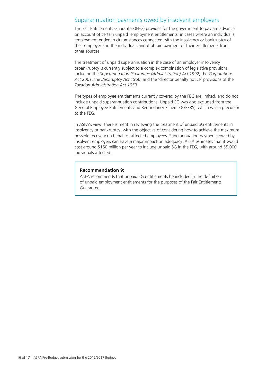### Superannuation payments owed by insolvent employers

The Fair Entitlements Guarantee (FEG) provides for the government to pay an 'advance' on account of certain unpaid 'employment entitlements' in cases where an individual's employment ended in circumstances connected with the insolvency or bankruptcy of their employer and the individual cannot obtain payment of their entitlements from other sources.

The treatment of unpaid superannuation in the case of an employer insolvency orbankruptcy is currently subject to a complex combination of legislative provisions, including the *Superannuation Guarantee (Administration) Act 1992*, the *Corporations Act 2001*, the *Bankruptcy Act 1966*, and the 'director penalty notice' provisions of the *Taxation Administration Act 1953*.

The types of employee entitlements currently covered by the FEG are limited, and do not include unpaid superannuation contributions. Unpaid SG was also excluded from the General Employee Entitlements and Redundancy Scheme (GEERS), which was a precursor to the FEG.

In ASFA's view, there is merit in reviewing the treatment of unpaid SG entitlements in insolvency or bankruptcy, with the objective of considering how to achieve the maximum possible recovery on behalf of affected employees. Superannuation payments owed by insolvent employers can have a major impact on adequacy. ASFA estimates that it would cost around \$150 million per year to include unpaid SG in the FEG, with around 55,000 individuals affected.

### **Recommendation 9:**

ASFA recommends that unpaid SG entitlements be included in the definition of unpaid employment entitlements for the purposes of the Fair Entitlements Guarantee.